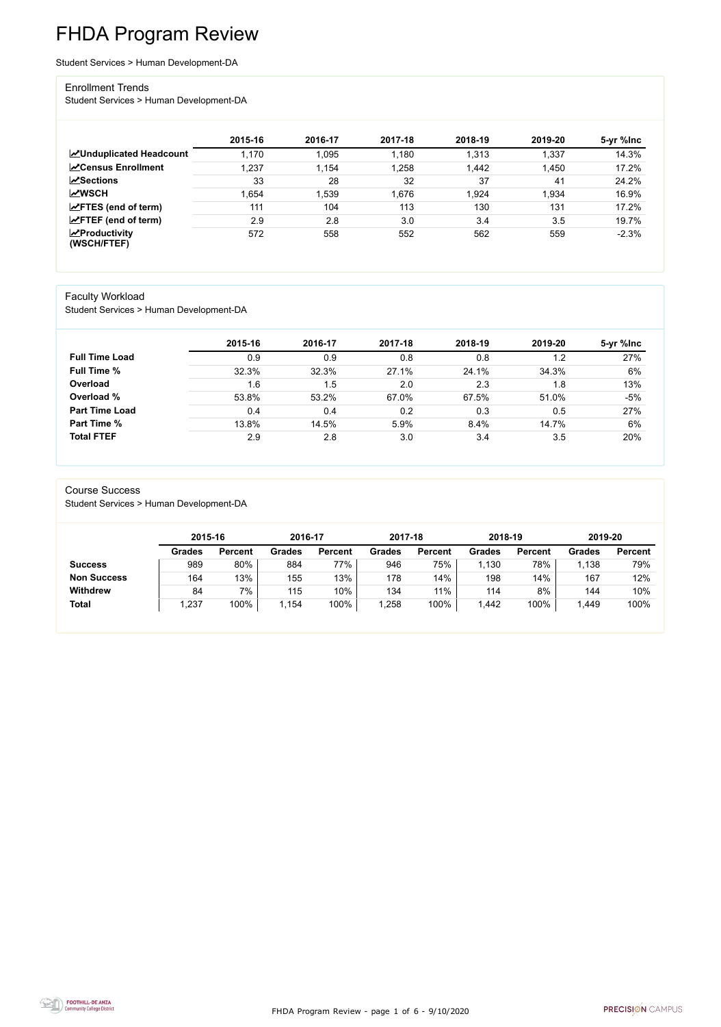FHDA Program Review - page 1 of 6 - 9/10/2020



# FHDA Program Review

Student Services > Human Development-DA

### Enrollment Trends

Student Services > Human Development-DA

|                                        | 2015-16 | 2016-17 | 2017-18 | 2018-19 | 2019-20 | 5-yr %lnc |
|----------------------------------------|---------|---------|---------|---------|---------|-----------|
| <b>ZUnduplicated Headcount</b>         | 1,170   | 1,095   | 1,180   | 1,313   | 1,337   | 14.3%     |
| <b>∠</b> Census Enrollment             | 1,237   | 1,154   | 1,258   | 1,442   | 1,450   | 17.2%     |
| <b>ZSections</b>                       | 33      | 28      | 32      | 37      | 41      | 24.2%     |
| <b>MWSCH</b>                           | .654    | 1,539   | 1,676   | 1,924   | 1,934   | 16.9%     |
| $\angle$ FTES (end of term)            | 111     | 104     | 113     | 130     | 131     | 17.2%     |
| $\angle$ FTEF (end of term)            | 2.9     | 2.8     | 3.0     | 3.4     | 3.5     | 19.7%     |
| $\sqrt{2}$ Productivity<br>(WSCH/FTEF) | 572     | 558     | 552     | 562     | 559     | $-2.3%$   |

### Faculty Workload

Student Services > Human Development-DA

|                       | 2015-16 | 2016-17 | 2017-18 | 2018-19 | 2019-20 | 5-yr %lnc |
|-----------------------|---------|---------|---------|---------|---------|-----------|
| <b>Full Time Load</b> | 0.9     | 0.9     | 0.8     | 0.8     | 1.2     | 27%       |
| <b>Full Time %</b>    | 32.3%   | 32.3%   | 27.1%   | 24.1%   | 34.3%   | 6%        |
| Overload              | 1.6     | 1.5     | 2.0     | 2.3     | 1.8     | 13%       |
| Overload %            | 53.8%   | 53.2%   | 67.0%   | 67.5%   | 51.0%   | $-5%$     |
| <b>Part Time Load</b> | 0.4     | 0.4     | 0.2     | 0.3     | 0.5     | 27%       |
| Part Time %           | 13.8%   | 14.5%   | 5.9%    | 8.4%    | 14.7%   | 6%        |
| <b>Total FTEF</b>     | 2.9     | 2.8     | 3.0     | 3.4     | 3.5     | 20%       |

### Course Success

Student Services > Human Development-DA

|                    | 2015-16       |                | 2016-17       |                | 2017-18 |                | 2018-19       |                | 2019-20 |                |
|--------------------|---------------|----------------|---------------|----------------|---------|----------------|---------------|----------------|---------|----------------|
|                    | <b>Grades</b> | <b>Percent</b> | <b>Grades</b> | <b>Percent</b> | Grades  | <b>Percent</b> | <b>Grades</b> | <b>Percent</b> | Grades  | <b>Percent</b> |
| <b>Success</b>     | 989           | 80%            | 884           | 77%            | 946     | 75%            | .130          | 78%            | 1,138   | 79%            |
| <b>Non Success</b> | 164           | 13%            | 155           | 13%            | 178     | 14%            | 198           | 14%            | 167     | 12%            |
| <b>Withdrew</b>    | 84            | 7%             | 115           | 10%            | 134     | 11%            | 114           | 8%             | 144     | 10%            |
| <b>Total</b>       | ,237          | 100%           | .154          | 100%           | ,258    | 100%           | ,442          | 100%           | 1,449   | 100%           |

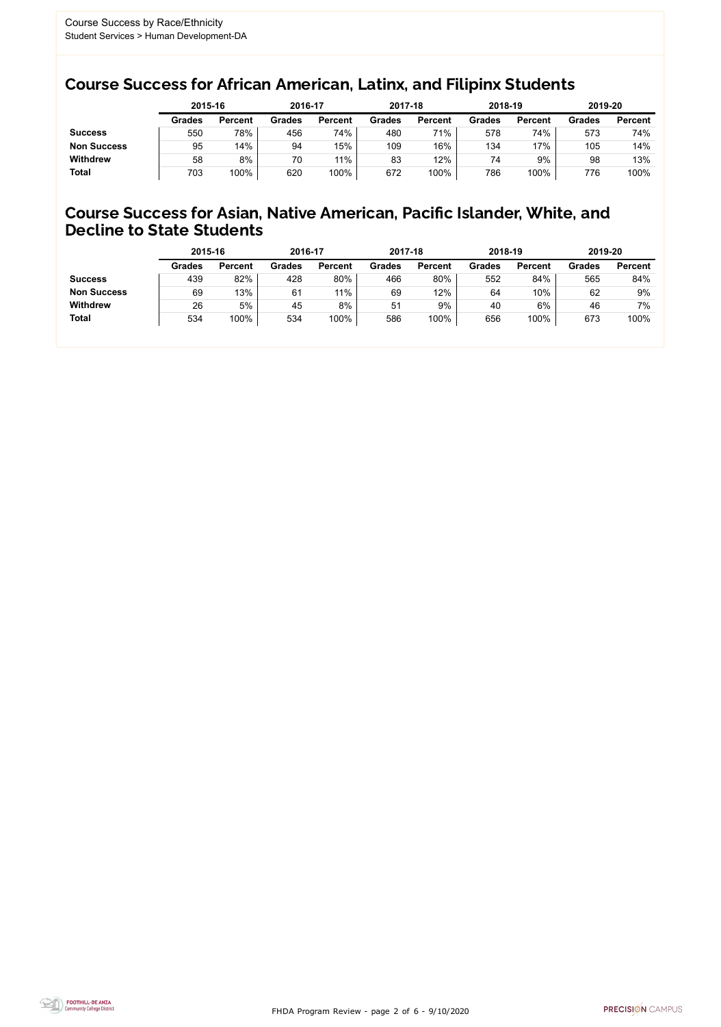FHDA Program Review - page 2 of 6 - 9/10/2020



## Course Success for African American, Latinx, and Filipinx Students

### Course Success for Asian, Native American, Pacific Islander, White, and Decline to State Students

|                    | 2015-16       |                | 2016-17       |                | 2017-18       |                | 2018-19       |                | 2019-20       |                |
|--------------------|---------------|----------------|---------------|----------------|---------------|----------------|---------------|----------------|---------------|----------------|
|                    | <b>Grades</b> | <b>Percent</b> | <b>Grades</b> | <b>Percent</b> | <b>Grades</b> | <b>Percent</b> | <b>Grades</b> | <b>Percent</b> | <b>Grades</b> | <b>Percent</b> |
| <b>Success</b>     | 550           | 78%            | 456           | 74%            | 480           | 71%            | 578           | 74%            | 573           | 74%            |
| <b>Non Success</b> | 95            | 14%            | 94            | 15%            | 109           | 16%            | 134           | 17%            | 105           | 14%            |
| <b>Withdrew</b>    | 58            | 8%             | 70            | $11\%$         | 83            | 12%            | 74            | 9%             | 98            | 13%            |
| <b>Total</b>       | 703           | 100%           | 620           | 100%           | 672           | 100%           | 786           | 100%           | 776           | 100%           |

|                    | 2015-16       |                | 2016-17       |                | 2017-18       |                | 2018-19       |                | 2019-20       |                |
|--------------------|---------------|----------------|---------------|----------------|---------------|----------------|---------------|----------------|---------------|----------------|
|                    | <b>Grades</b> | <b>Percent</b> | <b>Grades</b> | <b>Percent</b> | <b>Grades</b> | <b>Percent</b> | <b>Grades</b> | <b>Percent</b> | <b>Grades</b> | <b>Percent</b> |
| <b>Success</b>     | 439           | 82%            | 428           | 80%            | 466           | 80%            | 552           | 84%            | 565           | 84%            |
| <b>Non Success</b> | 69            | 13%            | 61            | $11\%$         | 69            | 12%            | 64            | 10%            | 62            | 9%             |
| <b>Withdrew</b>    | 26            | 5%             | 45            | 8%             | 51            | 9%             | 40            | $6\%$          | 46            | 7%             |
| <b>Total</b>       | 534           | 100%           | 534           | 100%           | 586           | 100%           | 656           | 100%           | 673           | 100%           |
|                    |               |                |               |                |               |                |               |                |               |                |

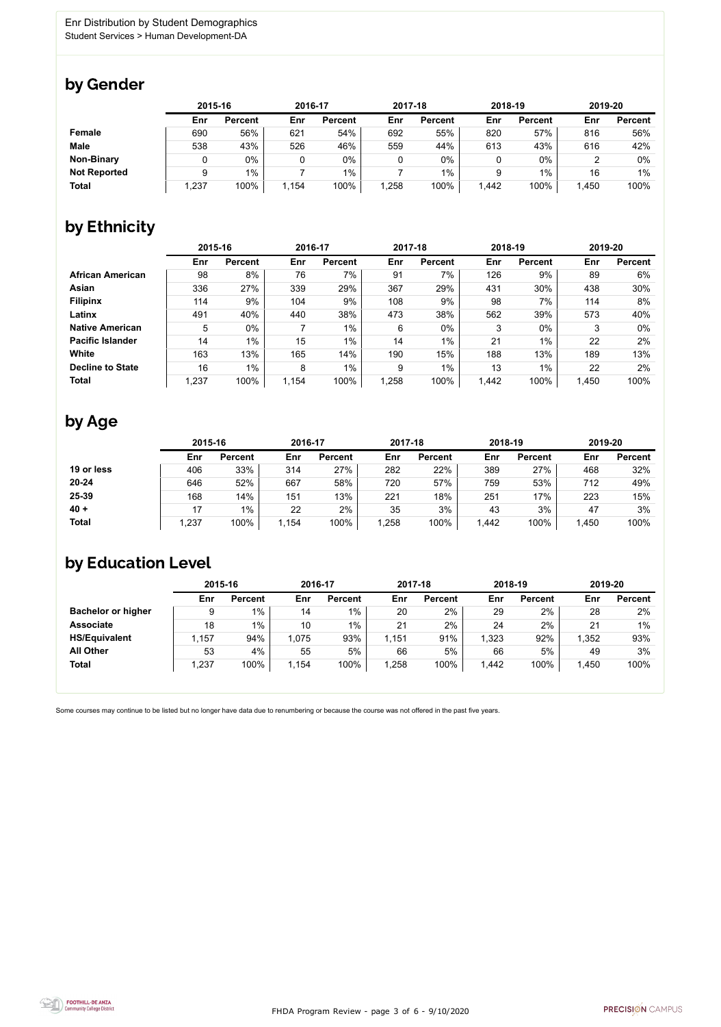FHDA Program Review - page 3 of 6 - 9/10/2020



Some courses may continue to be listed but no longer have data due to renumbering or because the course was not offered in the past five years.



## by Gender

|                     | 2015-16 |                |       | 2016-17        |       | 2017-18        | 2018-19 |                | 2019-20 |                |
|---------------------|---------|----------------|-------|----------------|-------|----------------|---------|----------------|---------|----------------|
|                     | Enr     | <b>Percent</b> | Enr   | <b>Percent</b> | Enr   | <b>Percent</b> | Enr     | <b>Percent</b> | Enr     | <b>Percent</b> |
| <b>Female</b>       | 690     | 56%            | 621   | 54%            | 692   | 55%            | 820     | 57%            | 816     | 56%            |
| <b>Male</b>         | 538     | 43%            | 526   | 46%            | 559   | 44%            | 613     | 43%            | 616     | 42%            |
| <b>Non-Binary</b>   |         | 0%             |       | $0\%$          |       | $0\%$          |         | 0%             |         | 0%             |
| <b>Not Reported</b> |         | $1\%$          |       | $1\%$          |       | 1%             |         | $1\%$          | 16      | $1\%$          |
| <b>Total</b>        | .237    | 100%           | 1,154 | 100%           | 1,258 | 100%           | 1,442   | 100%           | 1,450   | 100%           |

## by Ethnicity

|                         |       | 2015-16        |       | 2016-17        |       | 2017-18        | 2018-19 |                | 2019-20 |                |
|-------------------------|-------|----------------|-------|----------------|-------|----------------|---------|----------------|---------|----------------|
|                         | Enr   | <b>Percent</b> | Enr   | <b>Percent</b> | Enr   | <b>Percent</b> | Enr     | <b>Percent</b> | Enr     | <b>Percent</b> |
| <b>African American</b> | 98    | 8%             | 76    | 7%             | 91    | 7%             | 126     | 9%             | 89      | 6%             |
| <b>Asian</b>            | 336   | 27%            | 339   | 29%            | 367   | 29%            | 431     | 30%            | 438     | 30%            |
| <b>Filipinx</b>         | 114   | 9%             | 104   | 9%             | 108   | 9%             | 98      | 7%             | 114     | 8%             |
| Latinx                  | 491   | 40%            | 440   | 38%            | 473   | 38%            | 562     | 39%            | 573     | 40%            |
| <b>Native American</b>  | 5     | $0\%$          |       | $1\%$          | 6     | $0\%$          | 3       | $0\%$          | 3       | $0\%$          |
| <b>Pacific Islander</b> | 14    | $1\%$          | 15    | $1\%$          | 14    | $1\%$          | 21      | $1\%$          | 22      | 2%             |
| White                   | 163   | 13%            | 165   | 14%            | 190   | 15%            | 188     | 13%            | 189     | 13%            |
| <b>Decline to State</b> | 16    | $1\%$          | 8     | $1\%$          | 9     | $1\%$          | 13      | $1\%$          | 22      | 2%             |
| <b>Total</b>            | 1,237 | 100%           | 1,154 | 100%           | 1,258 | 100%           | 1,442   | 100%           | 1,450   | 100%           |

## by Age

|              |       | 2015-16        |       | 2016-17        |      | 2017-18        |       | 2018-19        |       | 2019-20        |  |
|--------------|-------|----------------|-------|----------------|------|----------------|-------|----------------|-------|----------------|--|
|              | Enr   | <b>Percent</b> | Enr   | <b>Percent</b> | Enr  | <b>Percent</b> | Enr   | <b>Percent</b> | Enr   | <b>Percent</b> |  |
| 19 or less   | 406   | 33%            | 314   | 27%            | 282  | 22%            | 389   | 27%            | 468   | 32%            |  |
| $20 - 24$    | 646   | 52%            | 667   | 58%            | 720  | 57%            | 759   | 53%            | 712   | 49%            |  |
| 25-39        | 168   | 14%            | 151   | 13%            | 221  | 18%            | 251   | 17%            | 223   | 15%            |  |
| $40 +$       | 17    | $1\%$          | 22    | 2%             | 35   | 3%             | 43    | 3%             | 47    | 3%             |  |
| <b>Total</b> | 1,237 | 100%           | 1,154 | 100%           | ,258 | 100%           | 1,442 | 100%           | 1,450 | 100%           |  |

## by Education Level

|                           | 2015-16 |                |       | 2016-17        |       | 2017-18        | 2018-19 |                | 2019-20 |                |
|---------------------------|---------|----------------|-------|----------------|-------|----------------|---------|----------------|---------|----------------|
|                           | Enr     | <b>Percent</b> | Enr   | <b>Percent</b> | Enr   | <b>Percent</b> | Enr     | <b>Percent</b> | Enr     | <b>Percent</b> |
| <b>Bachelor or higher</b> | 9       | $1\%$          | 14    | $1\%$          | 20    | 2%             | 29      | 2%             | 28      | 2%             |
| <b>Associate</b>          | 18      | 1%             | 10    | 1%             | 21    | 2%             | 24      | 2%             | 21      | $1\%$          |
| <b>HS/Equivalent</b>      | 1,157   | 94%            | 1,075 | 93%            | 1,151 | 91%            | 1,323   | 92%            | 1,352   | 93%            |
| <b>All Other</b>          | 53      | 4%             | 55    | 5%             | 66    | 5%             | 66      | 5%             | 49      | 3%             |
| <b>Total</b>              | 1,237   | 100%           | 1,154 | 100%           | 1,258 | 100%           | 1,442   | 100%           | 1,450   | 100%           |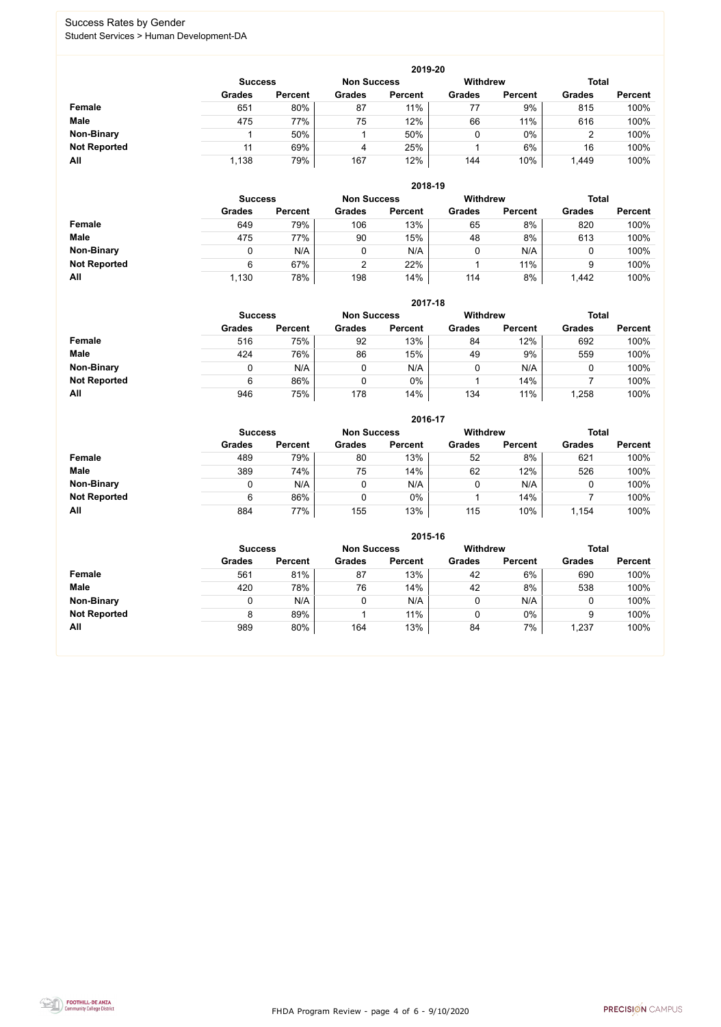FHDA Program Review - page 4 of 6 - 9/10/2020



### Success Rates by Gender Student Services > Human Development-DA

|                     | 2019-20        |                |                    |                |                 |                |                |                |  |  |  |  |  |
|---------------------|----------------|----------------|--------------------|----------------|-----------------|----------------|----------------|----------------|--|--|--|--|--|
|                     | <b>Success</b> |                | <b>Non Success</b> |                | <b>Withdrew</b> |                | <b>Total</b>   |                |  |  |  |  |  |
|                     | <b>Grades</b>  | <b>Percent</b> | <b>Grades</b>      | <b>Percent</b> | <b>Grades</b>   | <b>Percent</b> | <b>Grades</b>  | <b>Percent</b> |  |  |  |  |  |
| Female              | 651            | 80%            | 87                 | 11%            | 77              | 9%             | 815            | 100%           |  |  |  |  |  |
| <b>Male</b>         | 475            | 77%            | 75                 | 12%            | 66              | 11%            | 616            | 100%           |  |  |  |  |  |
| <b>Non-Binary</b>   |                | 50%            |                    | 50%            | 0               | $0\%$          | $\overline{2}$ | 100%           |  |  |  |  |  |
| <b>Not Reported</b> |                | 69%            | 4                  | 25%            |                 | 6%             | 16             | 100%           |  |  |  |  |  |
| All                 | 1,138          | 79%            | 167                | 12%            | 144             | 10%            | 1,449          | 100%           |  |  |  |  |  |

|                     | 2018-19       |                                      |               |                |               |                |               |                |  |  |  |  |
|---------------------|---------------|--------------------------------------|---------------|----------------|---------------|----------------|---------------|----------------|--|--|--|--|
|                     |               | <b>Non Success</b><br><b>Success</b> |               |                |               |                | <b>Total</b>  |                |  |  |  |  |
|                     | <b>Grades</b> | <b>Percent</b>                       | <b>Grades</b> | <b>Percent</b> | <b>Grades</b> | <b>Percent</b> | <b>Grades</b> | <b>Percent</b> |  |  |  |  |
| <b>Female</b>       | 649           | 79%                                  | 106           | 13%            | 65            | 8%             | 820           | 100%           |  |  |  |  |
| <b>Male</b>         | 475           | 77%                                  | 90            | 15%            | 48            | 8%             | 613           | 100%           |  |  |  |  |
| <b>Non-Binary</b>   | 0             | N/A                                  |               | N/A            | ν             | N/A            | U             | 100%           |  |  |  |  |
| <b>Not Reported</b> | 6             | 67%                                  | ⌒             | 22%            |               | 11%            | 9             | 100%           |  |  |  |  |
| All                 | 1,130         | 78%                                  | 198           | 14%            | 114           | 8%             | 1,442         | 100%           |  |  |  |  |

|                     |               | 2017-18                                                                 |               |                |               |                |               |                |  |  |  |  |  |
|---------------------|---------------|-------------------------------------------------------------------------|---------------|----------------|---------------|----------------|---------------|----------------|--|--|--|--|--|
|                     |               | <b>Total</b><br><b>Withdrew</b><br><b>Non Success</b><br><b>Success</b> |               |                |               |                |               |                |  |  |  |  |  |
|                     | <b>Grades</b> | <b>Percent</b>                                                          | <b>Grades</b> | <b>Percent</b> | <b>Grades</b> | <b>Percent</b> | <b>Grades</b> | <b>Percent</b> |  |  |  |  |  |
| <b>Female</b>       | 516           | 75%                                                                     | 92            | 13%            | 84            | 12%            | 692           | 100%           |  |  |  |  |  |
| <b>Male</b>         | 424           | 76%                                                                     | 86            | 15%            | 49            | 9%             | 559           | 100%           |  |  |  |  |  |
| <b>Non-Binary</b>   | 0             | N/A                                                                     |               | N/A            |               | N/A            | υ             | 100%           |  |  |  |  |  |
| <b>Not Reported</b> | 6             | 86%                                                                     | 0             | 0%             |               | 14%            |               | 100%           |  |  |  |  |  |
| All                 | 946           | 75%                                                                     | 178           | 14%            | 134           | 11%            | ,258          | 100%           |  |  |  |  |  |

|                     |               |                |               | 2016-17        |                 |                |               |                |
|---------------------|---------------|----------------|---------------|----------------|-----------------|----------------|---------------|----------------|
|                     |               | <b>Success</b> |               |                | <b>Withdrew</b> |                | <b>Total</b>  |                |
|                     | <b>Grades</b> | <b>Percent</b> | <b>Grades</b> | <b>Percent</b> | <b>Grades</b>   | <b>Percent</b> | <b>Grades</b> | <b>Percent</b> |
| <b>Female</b>       | 489           | 79%            | 80            | 13%            | 52              | 8%             | 621           | 100%           |
| <b>Male</b>         | 389           | 74%            | 75            | 14%            | 62              | 12%            | 526           | 100%           |
| <b>Non-Binary</b>   | 0             | N/A            |               | N/A            | 0               | N/A            | 0             | 100%           |
| <b>Not Reported</b> | 6             | 86%            |               | $0\%$          |                 | 14%            |               | 100%           |
| All                 | 884           | 77%            | 155           | 13%            | 115             | 10%            | 1,154         | 100%           |

|                     |               |                |               | 2015-16        |                 |                |               |                |
|---------------------|---------------|----------------|---------------|----------------|-----------------|----------------|---------------|----------------|
|                     |               | <b>Success</b> |               |                | <b>Withdrew</b> |                | <b>Total</b>  |                |
|                     | <b>Grades</b> | <b>Percent</b> | <b>Grades</b> | <b>Percent</b> | <b>Grades</b>   | <b>Percent</b> | <b>Grades</b> | <b>Percent</b> |
| Female              | 561           | 81%            | 87            | 13%            | 42              | 6%             | 690           | 100%           |
| <b>Male</b>         | 420           | 78%            | 76            | 14%            | 42              | 8%             | 538           | 100%           |
| <b>Non-Binary</b>   |               | N/A            | 0             | N/A            |                 | N/A            |               | 100%           |
| <b>Not Reported</b> | 8             | 89%            |               | 11%            |                 | 0%             | 9             | 100%           |
| All                 | 989           | 80%            | 164           | 13%            | 84              | 7%             | 1,237         | 100%           |

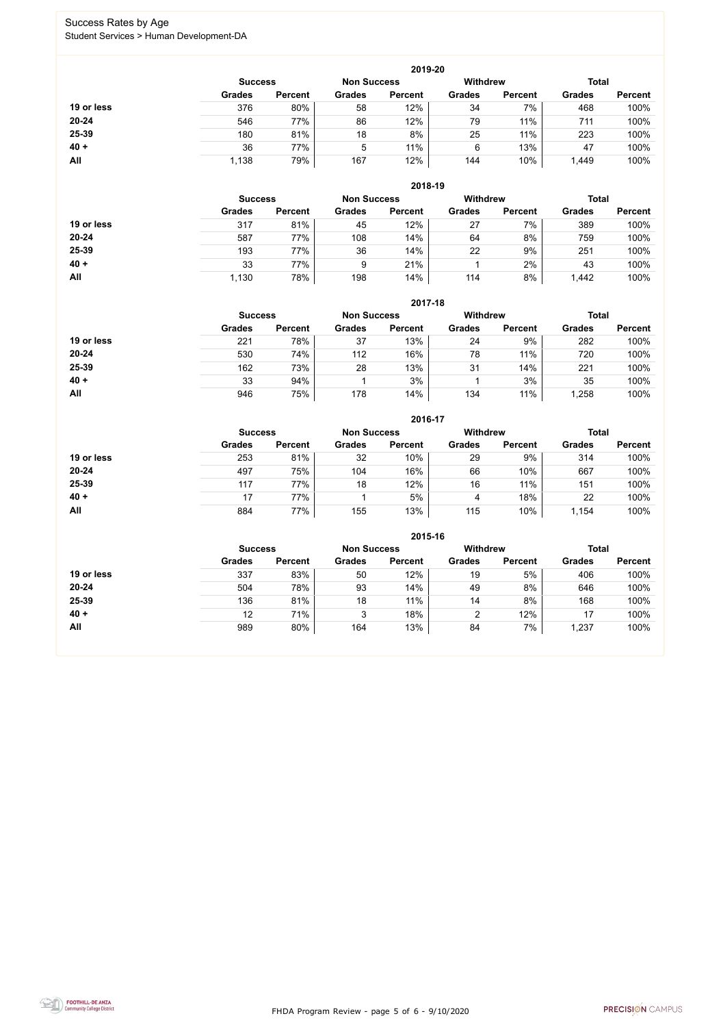FHDA Program Review - page 5 of 6 - 9/10/2020



### Success Rates by Age Student Services > Human Development-DA

|            |                |                    |               | 2019-20         |               |                |               |                |
|------------|----------------|--------------------|---------------|-----------------|---------------|----------------|---------------|----------------|
|            | <b>Success</b> | <b>Non Success</b> |               | <b>Withdrew</b> |               | <b>Total</b>   |               |                |
|            | <b>Grades</b>  | <b>Percent</b>     | <b>Grades</b> | <b>Percent</b>  | <b>Grades</b> | <b>Percent</b> | <b>Grades</b> | <b>Percent</b> |
| 19 or less | 376            | 80%                | 58            | 12%             | 34            | 7%             | 468           | 100%           |
| $20 - 24$  | 546            | 77%                | 86            | 12%             | 79            | 11%            | 711           | 100%           |
| 25-39      | 180            | 81%                | 18            | 8%              | 25            | 11%            | 223           | 100%           |
| $40 +$     | 36             | 77%                | 5             | 11%             | 6             | 13%            | 47            | 100%           |
| All        | 1,138          | 79%                | 167           | 12%             | 144           | 10%            | 1,449         | 100%           |

|            |                |                    |               | 2018-19         |               |                |               |                |
|------------|----------------|--------------------|---------------|-----------------|---------------|----------------|---------------|----------------|
|            | <b>Success</b> | <b>Non Success</b> |               | <b>Withdrew</b> |               | <b>Total</b>   |               |                |
|            | <b>Grades</b>  | <b>Percent</b>     | <b>Grades</b> | <b>Percent</b>  | <b>Grades</b> | <b>Percent</b> | <b>Grades</b> | <b>Percent</b> |
| 19 or less | 317            | 81%                | 45            | 12%             | 27            | 7%             | 389           | 100%           |
| $20 - 24$  | 587            | 77%                | 108           | 14%             | 64            | 8%             | 759           | 100%           |
| 25-39      | 193            | 77%                | 36            | 14%             | 22            | 9%             | 251           | 100%           |
| $40 +$     | 33             | 77%                | 9             | 21%             |               | 2%             | 43            | 100%           |
| All        | 1,130          | 78%                | 198           | 14%             | 114           | 8%             | 1,442         | 100%           |

|            |                |                |                    | 2017-18        |                 |                |               |                |
|------------|----------------|----------------|--------------------|----------------|-----------------|----------------|---------------|----------------|
|            | <b>Success</b> |                | <b>Non Success</b> |                | <b>Withdrew</b> |                | <b>Total</b>  |                |
|            | <b>Grades</b>  | <b>Percent</b> | <b>Grades</b>      | <b>Percent</b> | <b>Grades</b>   | <b>Percent</b> | <b>Grades</b> | <b>Percent</b> |
| 19 or less | 221            | 78%            | 37                 | 13%            | 24              | 9%             | 282           | 100%           |
| $20 - 24$  | 530            | 74%            | 112                | 16%            | 78              | 11%            | 720           | 100%           |
| 25-39      | 162            | 73%            | 28                 | 13%            | 31              | 14%            | 221           | 100%           |
| $40 +$     | 33             | 94%            |                    | 3%             |                 | 3%             | 35            | 100%           |
| All        | 946            | 75%            | 178                | 14%            | 134             | 11%            | ,258          | 100%           |

|            |                |                    |               | 2016-17         |               |                |               |                |
|------------|----------------|--------------------|---------------|-----------------|---------------|----------------|---------------|----------------|
|            | <b>Success</b> | <b>Non Success</b> |               | <b>Withdrew</b> |               | <b>Total</b>   |               |                |
|            | <b>Grades</b>  | <b>Percent</b>     | <b>Grades</b> | <b>Percent</b>  | <b>Grades</b> | <b>Percent</b> | <b>Grades</b> | <b>Percent</b> |
| 19 or less | 253            | 81%                | 32            | 10%             | 29            | 9%             | 314           | 100%           |
| $20 - 24$  | 497            | 75%                | 104           | 16%             | 66            | 10%            | 667           | 100%           |
| 25-39      | 117            | 77%                | 18            | 12%             | 16            | 11%            | 151           | 100%           |
| $40 +$     | 17             | 77%                |               | 5%              | 4             | 18%            | 22            | 100%           |
| All        | 884            | 77%                | 155           | 13%             | 115           | 10%            | 1,154         | 100%           |

|            |                                                         |                |               | 2015-16        |                |                |               |                |
|------------|---------------------------------------------------------|----------------|---------------|----------------|----------------|----------------|---------------|----------------|
|            | <b>Withdrew</b><br><b>Non Success</b><br><b>Success</b> |                |               |                |                |                |               | <b>Total</b>   |
|            | <b>Grades</b>                                           | <b>Percent</b> | <b>Grades</b> | <b>Percent</b> | <b>Grades</b>  | <b>Percent</b> | <b>Grades</b> | <b>Percent</b> |
| 19 or less | 337                                                     | 83%            | 50            | 12%            | 19             | 5%             | 406           | 100%           |
| 20-24      | 504                                                     | 78%            | 93            | 14%            | 49             | 8%             | 646           | 100%           |
| 25-39      | 136                                                     | 81%            | 18            | 11%            | 14             | 8%             | 168           | 100%           |
| $40 +$     | 12                                                      | 71%            | 3             | 18%            | $\overline{2}$ | 12%            | 17            | 100%           |
| All        | 989                                                     | 80%            | 164           | 13%            | 84             | 7%             | 1,237         | 100%           |